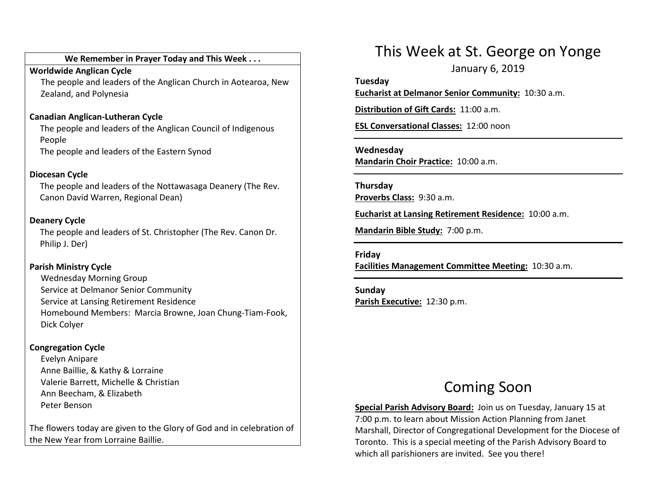#### We Remember in Prayer Today and This Week . . .

Worldwide Anglican Cycle

 The people and leaders of the Anglican Church in Aotearoa, New Zealand, and Polynesia

#### Canadian Anglican-Lutheran Cycle

The people and leaders of the Anglican Council of Indigenous People The people and leaders of the Eastern Synod

Diocesan Cycle

The people and leaders of the Nottawasaga Deanery (The Rev. Canon David Warren, Regional Dean)

#### Deanery Cycle

The people and leaders of St. Christopher (The Rev. Canon Dr. Philip J. Der)

#### Parish Ministry Cycle

Wednesday Morning Group Service at Delmanor Senior Community Service at Lansing Retirement Residence Homebound Members: Marcia Browne, Joan Chung-Tiam-Fook, Dick Colyer

#### Congregation Cycle

Evelyn Anipare Anne Baillie, & Kathy & Lorraine Valerie Barrett, Michelle & Christian Ann Beecham, & Elizabeth Peter Benson

The flowers today are given to the Glory of God and in celebration of the New Year from Lorraine Baillie.

## This Week at St. George on Yonge

January 6, 2019

Tuesday Eucharist at Delmanor Senior Community: 10:30 a.m.

Distribution of Gift Cards: 11:00 a.m.

ESL Conversational Classes: 12:00 noon

Wednesday Mandarin Choir Practice: 10:00 a.m.

Thursday Proverbs Class: 9:30 a.m.

Eucharist at Lansing Retirement Residence: 10:00 a.m.

Mandarin Bible Study: 7:00 p.m.

#### Friday

Facilities Management Committee Meeting: 10:30 a.m.

Sunday Parish Executive: 12:30 p.m.

## Coming Soon

Special Parish Advisory Board: Join us on Tuesday, January 15 at 7:00 p.m. to learn about Mission Action Planning from Janet Marshall, Director of Congregational Development for the Diocese of Toronto. This is a special meeting of the Parish Advisory Board to which all parishioners are invited. See you there!